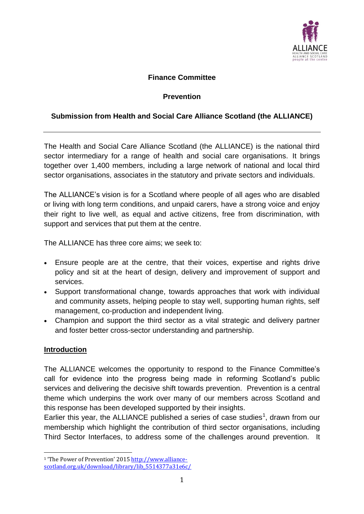

#### **Finance Committee**

#### **Prevention**

#### **Submission from Health and Social Care Alliance Scotland (the ALLIANCE)**

The Health and Social Care Alliance Scotland (the ALLIANCE) is the national third sector intermediary for a range of health and social care organisations. It brings together over 1,400 members, including a large network of national and local third sector organisations, associates in the statutory and private sectors and individuals.

The ALLIANCE's vision is for a Scotland where people of all ages who are disabled or living with long term conditions, and unpaid carers, have a strong voice and enjoy their right to live well, as equal and active citizens, free from discrimination, with support and services that put them at the centre.

The ALLIANCE has three core aims; we seek to:

- Ensure people are at the centre, that their voices, expertise and rights drive policy and sit at the heart of design, delivery and improvement of support and services.
- Support transformational change, towards approaches that work with individual and community assets, helping people to stay well, supporting human rights, self management, co-production and independent living.
- Champion and support the third sector as a vital strategic and delivery partner and foster better cross-sector understanding and partnership.

#### **Introduction**

The ALLIANCE welcomes the opportunity to respond to the Finance Committee's call for evidence into the progress being made in reforming Scotland's public services and delivering the decisive shift towards prevention. Prevention is a central theme which underpins the work over many of our members across Scotland and this response has been developed supported by their insights.

Earlier this year, the ALLIANCE published a series of case studies<sup>1</sup>, drawn from our membership which highlight the contribution of third sector organisations, including Third Sector Interfaces, to address some of the challenges around prevention. It

<sup>&</sup>lt;u>.</u> <sup>1</sup> 'The Power of Prevention' 2015 [http://www.alliance](http://www.alliance-scotland.org.uk/download/library/lib_5514377a31e6c/)[scotland.org.uk/download/library/lib\\_5514377a31e6c/](http://www.alliance-scotland.org.uk/download/library/lib_5514377a31e6c/)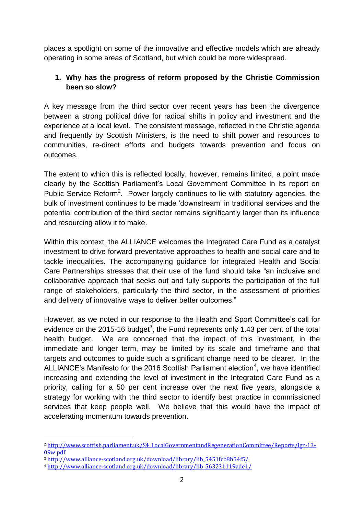places a spotlight on some of the innovative and effective models which are already operating in some areas of Scotland, but which could be more widespread.

# **1. Why has the progress of reform proposed by the Christie Commission been so slow?**

A key message from the third sector over recent years has been the divergence between a strong political drive for radical shifts in policy and investment and the experience at a local level. The consistent message, reflected in the Christie agenda and frequently by Scottish Ministers, is the need to shift power and resources to communities, re-direct efforts and budgets towards prevention and focus on outcomes.

The extent to which this is reflected locally, however, remains limited, a point made clearly by the Scottish Parliament's Local Government Committee in its report on Public Service Reform<sup>2</sup>. Power largely continues to lie with statutory agencies, the bulk of investment continues to be made 'downstream' in traditional services and the potential contribution of the third sector remains significantly larger than its influence and resourcing allow it to make.

Within this context, the ALLIANCE welcomes the Integrated Care Fund as a catalyst investment to drive forward preventative approaches to health and social care and to tackle inequalities. The accompanying guidance for integrated Health and Social Care Partnerships stresses that their use of the fund should take "an inclusive and collaborative approach that seeks out and fully supports the participation of the full range of stakeholders, particularly the third sector, in the assessment of priorities and delivery of innovative ways to deliver better outcomes."

However, as we noted in our response to the Health and Sport Committee's call for evidence on the 2015-16 budget<sup>3</sup>, the Fund represents only 1.43 per cent of the total health budget. We are concerned that the impact of this investment, in the immediate and longer term, may be limited by its scale and timeframe and that targets and outcomes to guide such a significant change need to be clearer. In the ALLIANCE's Manifesto for the 2016 Scottish Parliament election<sup>4</sup>, we have identified increasing and extending the level of investment in the Integrated Care Fund as a priority, calling for a 50 per cent increase over the next five years, alongside a strategy for working with the third sector to identify best practice in commissioned services that keep people well. We believe that this would have the impact of accelerating momentum towards prevention.

<u>.</u>

<sup>2</sup> [http://www.scottish.parliament.uk/S4\\_LocalGovernmentandRegenerationCommittee/Reports/lgr-13-](http://www.scottish.parliament.uk/S4_LocalGovernmentandRegenerationCommittee/Reports/lgr-13-09w.pdf) [09w.pdf](http://www.scottish.parliament.uk/S4_LocalGovernmentandRegenerationCommittee/Reports/lgr-13-09w.pdf)

<sup>3</sup> [http://www.alliance-scotland.org.uk/download/library/lib\\_5451fcb8b54f5/](http://www.alliance-scotland.org.uk/download/library/lib_5451fcb8b54f5/)

<sup>4</sup> [http://www.alliance-scotland.org.uk/download/library/lib\\_563231119ade1/](http://www.alliance-scotland.org.uk/download/library/lib_563231119ade1/)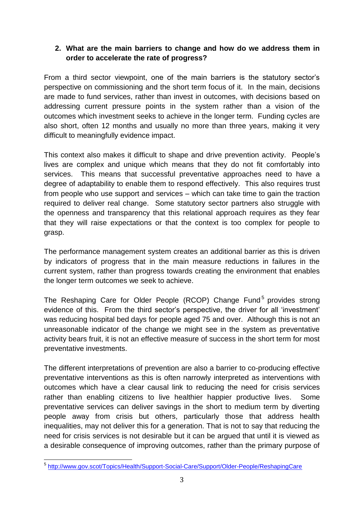## **2. What are the main barriers to change and how do we address them in order to accelerate the rate of progress?**

From a third sector viewpoint, one of the main barriers is the statutory sector's perspective on commissioning and the short term focus of it. In the main, decisions are made to fund services, rather than invest in outcomes, with decisions based on addressing current pressure points in the system rather than a vision of the outcomes which investment seeks to achieve in the longer term. Funding cycles are also short, often 12 months and usually no more than three years, making it very difficult to meaningfully evidence impact.

This context also makes it difficult to shape and drive prevention activity. People's lives are complex and unique which means that they do not fit comfortably into services. This means that successful preventative approaches need to have a degree of adaptability to enable them to respond effectively. This also requires trust from people who use support and services – which can take time to gain the traction required to deliver real change. Some statutory sector partners also struggle with the openness and transparency that this relational approach requires as they fear that they will raise expectations or that the context is too complex for people to grasp.

The performance management system creates an additional barrier as this is driven by indicators of progress that in the main measure reductions in failures in the current system, rather than progress towards creating the environment that enables the longer term outcomes we seek to achieve.

The Reshaping Care for Older People (RCOP) Change Fund<sup>5</sup> provides strong evidence of this. From the third sector's perspective, the driver for all 'investment' was reducing hospital bed days for people aged 75 and over. Although this is not an unreasonable indicator of the change we might see in the system as preventative activity bears fruit, it is not an effective measure of success in the short term for most preventative investments.

The different interpretations of prevention are also a barrier to co-producing effective preventative interventions as this is often narrowly interpreted as interventions with outcomes which have a clear causal link to reducing the need for crisis services rather than enabling citizens to live healthier happier productive lives. Some preventative services can deliver savings in the short to medium term by diverting people away from crisis but others, particularly those that address health inequalities, may not deliver this for a generation. That is not to say that reducing the need for crisis services is not desirable but it can be argued that until it is viewed as a desirable consequence of improving outcomes, rather than the primary purpose of

 5 <http://www.gov.scot/Topics/Health/Support-Social-Care/Support/Older-People/ReshapingCare>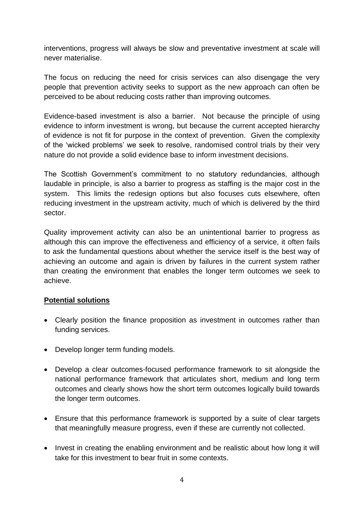interventions, progress will always be slow and preventative investment at scale will never materialise.

The focus on reducing the need for crisis services can also disengage the very people that prevention activity seeks to support as the new approach can often be perceived to be about reducing costs rather than improving outcomes.

Evidence-based investment is also a barrier. Not because the principle of using evidence to inform investment is wrong, but because the current accepted hierarchy of evidence is not fit for purpose in the context of prevention. Given the complexity of the 'wicked problems' we seek to resolve, randomised control trials by their very nature do not provide a solid evidence base to inform investment decisions.

The Scottish Government's commitment to no statutory redundancies, although laudable in principle, is also a barrier to progress as staffing is the major cost in the system. This limits the redesign options but also focuses cuts elsewhere, often reducing investment in the upstream activity, much of which is delivered by the third sector.

Quality improvement activity can also be an unintentional barrier to progress as although this can improve the effectiveness and efficiency of a service, it often fails to ask the fundamental questions about whether the service itself is the best way of achieving an outcome and again is driven by failures in the current system rather than creating the environment that enables the longer term outcomes we seek to achieve.

#### **Potential solutions**

- Clearly position the finance proposition as investment in outcomes rather than funding services.
- Develop longer term funding models.
- Develop a clear outcomes-focused performance framework to sit alongside the national performance framework that articulates short, medium and long term outcomes and clearly shows how the short term outcomes logically build towards the longer term outcomes.
- Ensure that this performance framework is supported by a suite of clear targets that meaningfully measure progress, even if these are currently not collected.
- Invest in creating the enabling environment and be realistic about how long it will take for this investment to bear fruit in some contexts.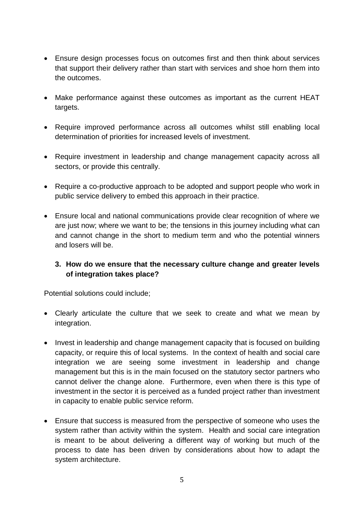- Ensure design processes focus on outcomes first and then think about services that support their delivery rather than start with services and shoe horn them into the outcomes.
- Make performance against these outcomes as important as the current HEAT targets.
- Require improved performance across all outcomes whilst still enabling local determination of priorities for increased levels of investment.
- Require investment in leadership and change management capacity across all sectors, or provide this centrally.
- Require a co-productive approach to be adopted and support people who work in public service delivery to embed this approach in their practice.
- Ensure local and national communications provide clear recognition of where we are just now; where we want to be; the tensions in this journey including what can and cannot change in the short to medium term and who the potential winners and losers will be.

## **3. How do we ensure that the necessary culture change and greater levels of integration takes place?**

Potential solutions could include;

- Clearly articulate the culture that we seek to create and what we mean by integration.
- Invest in leadership and change management capacity that is focused on building capacity, or require this of local systems. In the context of health and social care integration we are seeing some investment in leadership and change management but this is in the main focused on the statutory sector partners who cannot deliver the change alone. Furthermore, even when there is this type of investment in the sector it is perceived as a funded project rather than investment in capacity to enable public service reform.
- Ensure that success is measured from the perspective of someone who uses the system rather than activity within the system. Health and social care integration is meant to be about delivering a different way of working but much of the process to date has been driven by considerations about how to adapt the system architecture.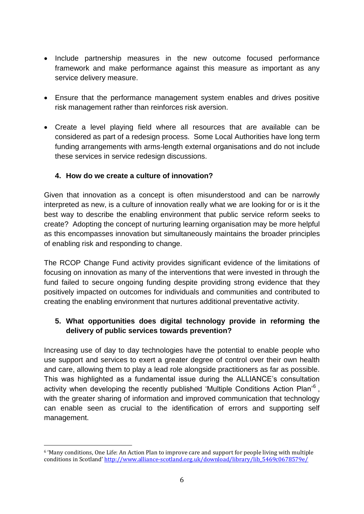- Include partnership measures in the new outcome focused performance framework and make performance against this measure as important as any service delivery measure.
- Ensure that the performance management system enables and drives positive risk management rather than reinforces risk aversion.
- Create a level playing field where all resources that are available can be considered as part of a redesign process. Some Local Authorities have long term funding arrangements with arms-length external organisations and do not include these services in service redesign discussions.

## **4. How do we create a culture of innovation?**

Given that innovation as a concept is often misunderstood and can be narrowly interpreted as new, is a culture of innovation really what we are looking for or is it the best way to describe the enabling environment that public service reform seeks to create? Adopting the concept of nurturing learning organisation may be more helpful as this encompasses innovation but simultaneously maintains the broader principles of enabling risk and responding to change.

The RCOP Change Fund activity provides significant evidence of the limitations of focusing on innovation as many of the interventions that were invested in through the fund failed to secure ongoing funding despite providing strong evidence that they positively impacted on outcomes for individuals and communities and contributed to creating the enabling environment that nurtures additional preventative activity.

# **5. What opportunities does digital technology provide in reforming the delivery of public services towards prevention?**

Increasing use of day to day technologies have the potential to enable people who use support and services to exert a greater degree of control over their own health and care, allowing them to play a lead role alongside practitioners as far as possible. This was highlighted as a fundamental issue during the ALLIANCE's consultation activity when developing the recently published 'Multiple Conditions Action Plan'<sup>6</sup>, with the greater sharing of information and improved communication that technology can enable seen as crucial to the identification of errors and supporting self management.

<u>.</u>

<sup>6</sup> 'Many conditions, One Life: An Action Plan to improve care and support for people living with multiple conditions in Scotland' [http://www.alliance-scotland.org.uk/download/library/lib\\_5469c0678579e/](http://www.alliance-scotland.org.uk/download/library/lib_5469c0678579e/)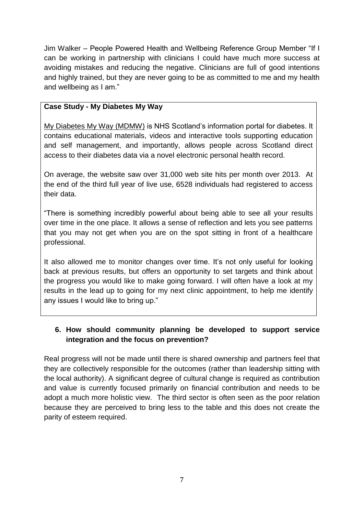Jim Walker – People Powered Health and Wellbeing Reference Group Member "If I can be working in partnership with clinicians I could have much more success at avoiding mistakes and reducing the negative. Clinicians are full of good intentions and highly trained, but they are never going to be as committed to me and my health and wellbeing as I am."

#### **Case Study - My Diabetes My Way**

[My Diabetes My Way \(MDMW\)](http://www.mydiabetesmyway.scot.nhs.uk/default.asp) is NHS Scotland's information portal for diabetes. It contains educational materials, videos and interactive tools supporting education and self management, and importantly, allows people across Scotland direct access to their diabetes data via a novel electronic personal health record.

On average, the website saw over 31,000 web site hits per month over 2013. At the end of the third full year of live use, 6528 individuals had registered to access their data.

"There is something incredibly powerful about being able to see all your results over time in the one place. It allows a sense of reflection and lets you see patterns that you may not get when you are on the spot sitting in front of a healthcare professional.

It also allowed me to monitor changes over time. It's not only useful for looking back at previous results, but offers an opportunity to set targets and think about the progress you would like to make going forward. I will often have a look at my results in the lead up to going for my next clinic appointment, to help me identify any issues I would like to bring up."

## **6. How should community planning be developed to support service integration and the focus on prevention?**

Real progress will not be made until there is shared ownership and partners feel that they are collectively responsible for the outcomes (rather than leadership sitting with the local authority). A significant degree of cultural change is required as contribution and value is currently focused primarily on financial contribution and needs to be adopt a much more holistic view. The third sector is often seen as the poor relation because they are perceived to bring less to the table and this does not create the parity of esteem required.